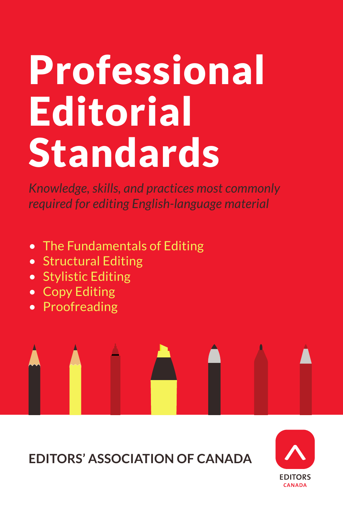# Professional Editorial Standards

*Knowledge, skills, and practices most commonly required for editing English-language material*

- The Fundamentals of Editing
- Structural Editing
- Stylistic Editing
- Copy Editing
- Proofreading



**EDITORS' ASSOCIATION OF CANADA**

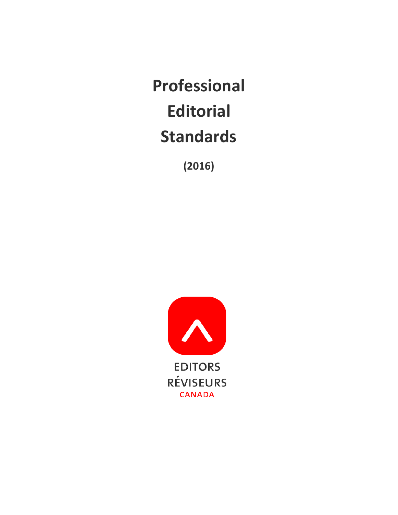**Professional Editorial Standards**

**(2016)**

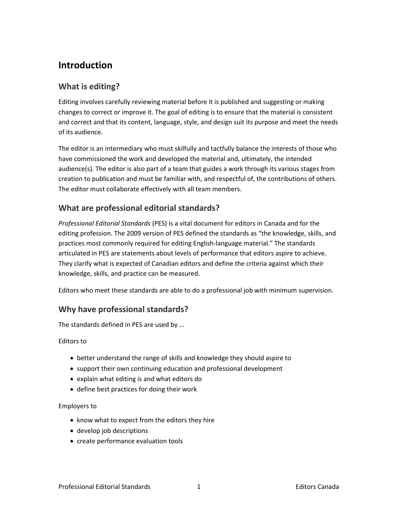# **Introduction**

# **What is editing?**

Editing involves carefully reviewing material before it is published and suggesting or making changes to correct or improve it. The goal of editing is to ensure that the material is consistent and correct and that its content, language, style, and design suit its purpose and meet the needs of its audience.

The editor is an intermediary who must skilfully and tactfully balance the interests of those who have commissioned the work and developed the material and, ultimately, the intended audience(s). The editor is also part of a team that guides a work through its various stages from creation to publication and must be familiar with, and respectful of, the contributions of others. The editor must collaborate effectively with all team members.

# **What are professional editorial standards?**

*Professional Editorial Standards* (PES) is a vital document for editors in Canada and for the editing profession. The 2009 version of PES defined the standards as "the knowledge, skills, and practices most commonly required for editing English-language material." The standards articulated in PES are statements about levels of performance that editors aspire to achieve. They clarify what is expected of Canadian editors and define the criteria against which their knowledge, skills, and practice can be measured.

Editors who meet these standards are able to do a professional job with minimum supervision.

# **Why have professional standards?**

The standards defined in PES are used by …

# Editors to

- better understand the range of skills and knowledge they should aspire to
- support their own continuing education and professional development
- explain what editing is and what editors do
- define best practices for doing their work

# Employers to

- know what to expect from the editors they hire
- develop job descriptions
- create performance evaluation tools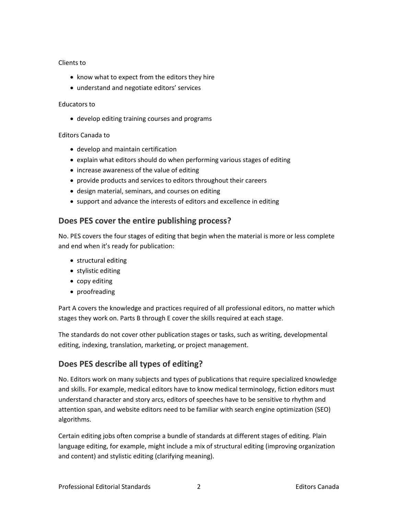# Clients to

- know what to expect from the editors they hire
- understand and negotiate editors' services

# Educators to

• develop editing training courses and programs

# Editors Canada to

- develop and maintain certification
- explain what editors should do when performing various stages of editing
- increase awareness of the value of editing
- provide products and services to editors throughout their careers
- design material, seminars, and courses on editing
- support and advance the interests of editors and excellence in editing

# **Does PES cover the entire publishing process?**

No. PES covers the four stages of editing that begin when the material is more or less complete and end when it's ready for publication:

- structural editing
- stylistic editing
- copy editing
- proofreading

Part A covers the knowledge and practices required of all professional editors, no matter which stages they work on. Parts B through E cover the skills required at each stage.

The standards do not cover other publication stages or tasks, such as writing, developmental editing, indexing, translation, marketing, or project management.

# **Does PES describe all types of editing?**

No. Editors work on many subjects and types of publications that require specialized knowledge and skills. For example, medical editors have to know medical terminology, fiction editors must understand character and story arcs, editors of speeches have to be sensitive to rhythm and attention span, and website editors need to be familiar with search engine optimization (SEO) algorithms.

Certain editing jobs often comprise a bundle of standards at different stages of editing. Plain language editing, for example, might include a mix of structural editing (improving organization and content) and stylistic editing (clarifying meaning).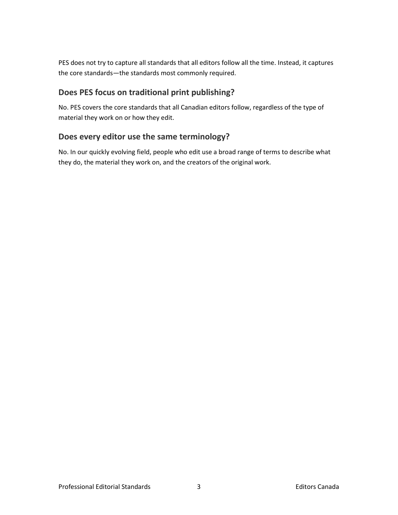PES does not try to capture all standards that all editors follow all the time. Instead, it captures the core standards—the standards most commonly required.

# **Does PES focus on traditional print publishing?**

No. PES covers the core standards that all Canadian editors follow, regardless of the type of material they work on or how they edit.

# **Does every editor use the same terminology?**

No. In our quickly evolving field, people who edit use a broad range of terms to describe what they do, the material they work on, and the creators of the original work.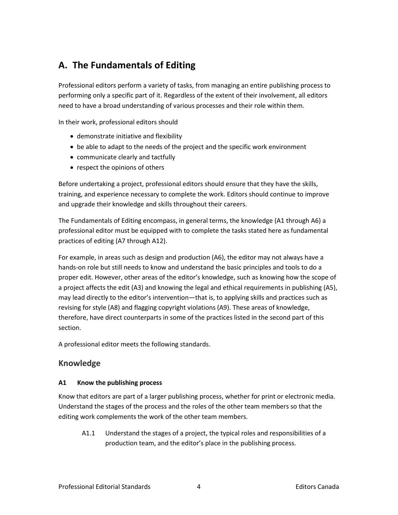# **A. The Fundamentals of Editing**

Professional editors perform a variety of tasks, from managing an entire publishing process to performing only a specific part of it. Regardless of the extent of their involvement, all editors need to have a broad understanding of various processes and their role within them.

In their work, professional editors should

- demonstrate initiative and flexibility
- be able to adapt to the needs of the project and the specific work environment
- communicate clearly and tactfully
- respect the opinions of others

Before undertaking a project, professional editors should ensure that they have the skills, training, and experience necessary to complete the work. Editors should continue to improve and upgrade their knowledge and skills throughout their careers.

The Fundamentals of Editing encompass, in general terms, the knowledge (A1 through A6) a professional editor must be equipped with to complete the tasks stated here as fundamental practices of editing (A7 through A12).

For example, in areas such as design and production (A6), the editor may not always have a hands-on role but still needs to know and understand the basic principles and tools to do a proper edit. However, other areas of the editor's knowledge, such as knowing how the scope of a project affects the edit (A3) and knowing the legal and ethical requirements in publishing (A5), may lead directly to the editor's intervention—that is, to applying skills and practices such as revising for style (A8) and flagging copyright violations (A9). These areas of knowledge, therefore, have direct counterparts in some of the practices listed in the second part of this section.

A professional editor meets the following standards.

# **Knowledge**

# **A1 Know the publishing process**

Know that editors are part of a larger publishing process, whether for print or electronic media. Understand the stages of the process and the roles of the other team members so that the editing work complements the work of the other team members.

A1.1 Understand the stages of a project, the typical roles and responsibilities of a production team, and the editor's place in the publishing process.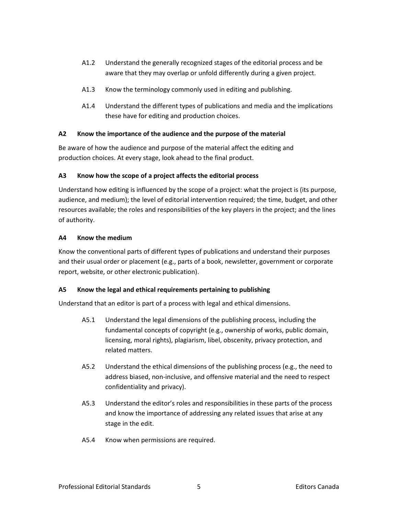- A1.2 Understand the generally recognized stages of the editorial process and be aware that they may overlap or unfold differently during a given project.
- A1.3 Know the terminology commonly used in editing and publishing.
- A1.4 Understand the different types of publications and media and the implications these have for editing and production choices.

# **A2 Know the importance of the audience and the purpose of the material**

Be aware of how the audience and purpose of the material affect the editing and production choices. At every stage, look ahead to the final product.

# **A3 Know how the scope of a project affects the editorial process**

Understand how editing is influenced by the scope of a project: what the project is (its purpose, audience, and medium); the level of editorial intervention required; the time, budget, and other resources available; the roles and responsibilities of the key players in the project; and the lines of authority.

# **A4 Know the medium**

Know the conventional parts of different types of publications and understand their purposes and their usual order or placement (e.g., parts of a book, newsletter, government or corporate report, website, or other electronic publication).

# **A5 Know the legal and ethical requirements pertaining to publishing**

Understand that an editor is part of a process with legal and ethical dimensions.

- A5.1 Understand the legal dimensions of the publishing process, including the fundamental concepts of copyright (e.g., ownership of works, public domain, licensing, moral rights), plagiarism, libel, obscenity, privacy protection, and related matters.
- A5.2 Understand the ethical dimensions of the publishing process (e.g., the need to address biased, non-inclusive, and offensive material and the need to respect confidentiality and privacy).
- A5.3 Understand the editor's roles and responsibilities in these parts of the process and know the importance of addressing any related issues that arise at any stage in the edit.
- A5.4 Know when permissions are required.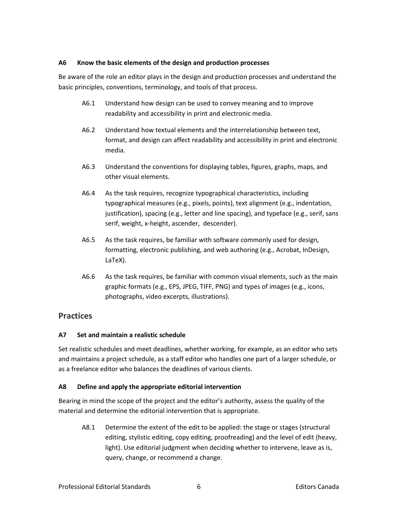# **A6 Know the basic elements of the design and production processes**

Be aware of the role an editor plays in the design and production processes and understand the basic principles, conventions, terminology, and tools of that process.

- A6.1 Understand how design can be used to convey meaning and to improve readability and accessibility in print and electronic media.
- A6.2 Understand how textual elements and the interrelationship between text, format, and design can affect readability and accessibility in print and electronic media.
- A6.3 Understand the conventions for displaying tables, figures, graphs, maps, and other visual elements.
- A6.4 As the task requires, recognize typographical characteristics, including typographical measures (e.g., pixels, points), text alignment (e.g., indentation, justification), spacing (e.g., letter and line spacing), and typeface (e.g., serif, sans serif, weight, x-height, ascender, descender).
- A6.5 As the task requires, be familiar with software commonly used for design, formatting, electronic publishing, and web authoring (e.g., Acrobat, InDesign, LaTeX).
- A6.6 As the task requires, be familiar with common visual elements, such as the main graphic formats (e.g., EPS, JPEG, TIFF, PNG) and types of images (e.g., icons, photographs, video excerpts, illustrations).

# **Practices**

# **A7 Set and maintain a realistic schedule**

Set realistic schedules and meet deadlines, whether working, for example, as an editor who sets and maintains a project schedule, as a staff editor who handles one part of a larger schedule, or as a freelance editor who balances the deadlines of various clients.

# **A8 Define and apply the appropriate editorial intervention**

Bearing in mind the scope of the project and the editor's authority, assess the quality of the material and determine the editorial intervention that is appropriate.

A8.1 Determine the extent of the edit to be applied: the stage or stages (structural editing, stylistic editing, copy editing, proofreading) and the level of edit (heavy, light). Use editorial judgment when deciding whether to intervene, leave as is, query, change, or recommend a change.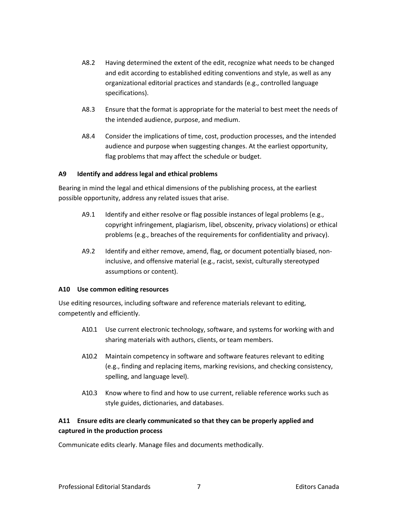- A8.2 Having determined the extent of the edit, recognize what needs to be changed and edit according to established editing conventions and style, as well as any organizational editorial practices and standards (e.g., controlled language specifications).
- A8.3 Ensure that the format is appropriate for the material to best meet the needs of the intended audience, purpose, and medium.
- A8.4 Consider the implications of time, cost, production processes, and the intended audience and purpose when suggesting changes. At the earliest opportunity, flag problems that may affect the schedule or budget.

# **A9 Identify and address legal and ethical problems**

Bearing in mind the legal and ethical dimensions of the publishing process, at the earliest possible opportunity, address any related issues that arise.

- A9.1 Identify and either resolve or flag possible instances of legal problems (e.g., copyright infringement, plagiarism, libel, obscenity, privacy violations) or ethical problems (e.g., breaches of the requirements for confidentiality and privacy).
- A9.2 Identify and either remove, amend, flag, or document potentially biased, noninclusive, and offensive material (e.g., racist, sexist, culturally stereotyped assumptions or content).

# **A10 Use common editing resources**

Use editing resources, including software and reference materials relevant to editing, competently and efficiently.

- A10.1 Use current electronic technology, software, and systems for working with and sharing materials with authors, clients, or team members.
- A10.2 Maintain competency in software and software features relevant to editing (e.g., finding and replacing items, marking revisions, and checking consistency, spelling, and language level).
- A10.3 Know where to find and how to use current, reliable reference works such as style guides, dictionaries, and databases.

# **A11 Ensure edits are clearly communicated so that they can be properly applied and captured in the production process**

Communicate edits clearly. Manage files and documents methodically.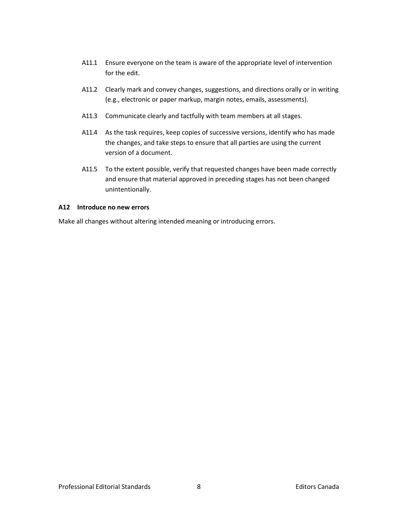- A11.1 Ensure everyone on the team is aware of the appropriate level of intervention for the edit.
- A11.2 Clearly mark and convey changes, suggestions, and directions orally or in writing (e.g., electronic or paper markup, margin notes, emails, assessments).
- A11.3 Communicate clearly and tactfully with team members at all stages.
- A11.4 As the task requires, keep copies of successive versions, identify who has made the changes, and take steps to ensure that all parties are using the current version of a document.
- A11.5 To the extent possible, verify that requested changes have been made correctly and ensure that material approved in preceding stages has not been changed unintentionally.

# **A12 Introduce no new errors**

Make all changes without altering intended meaning or introducing errors.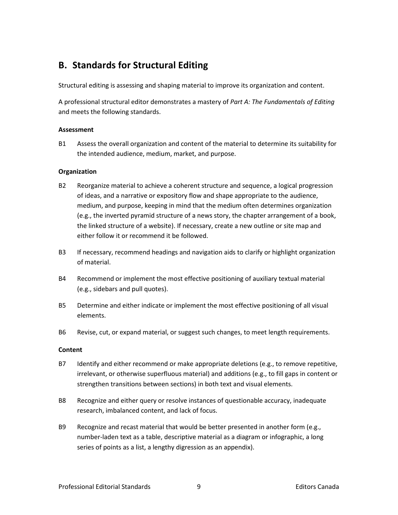# **B. Standards for Structural Editing**

Structural editing is assessing and shaping material to improve its organization and content.

A professional structural editor demonstrates a mastery of *Part A: The Fundamentals of Editing* and meets the following standards.

# **Assessment**

B1 Assess the overall organization and content of the material to determine its suitability for the intended audience, medium, market, and purpose.

# **Organization**

- B2 Reorganize material to achieve a coherent structure and sequence, a logical progression of ideas, and a narrative or expository flow and shape appropriate to the audience, medium, and purpose, keeping in mind that the medium often determines organization (e.g., the inverted pyramid structure of a news story, the chapter arrangement of a book, the linked structure of a website). If necessary, create a new outline or site map and either follow it or recommend it be followed.
- B3 If necessary, recommend headings and navigation aids to clarify or highlight organization of material.
- B4 Recommend or implement the most effective positioning of auxiliary textual material (e.g., sidebars and pull quotes).
- B5 Determine and either indicate or implement the most effective positioning of all visual elements.
- B6 Revise, cut, or expand material, or suggest such changes, to meet length requirements.

# **Content**

- B7 Identify and either recommend or make appropriate deletions (e.g., to remove repetitive, irrelevant, or otherwise superfluous material) and additions (e.g., to fill gaps in content or strengthen transitions between sections) in both text and visual elements.
- B8 Recognize and either query or resolve instances of questionable accuracy, inadequate research, imbalanced content, and lack of focus.
- B9 Recognize and recast material that would be better presented in another form (e.g., number-laden text as a table, descriptive material as a diagram or infographic, a long series of points as a list, a lengthy digression as an appendix).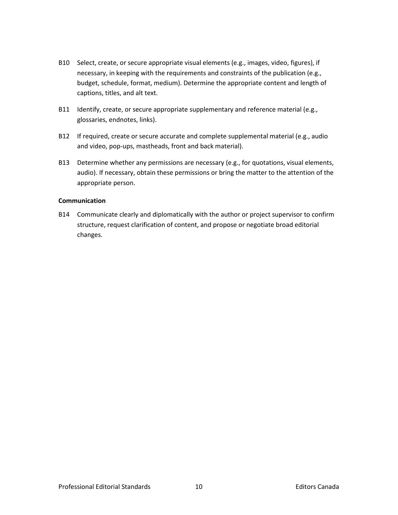- B10 Select, create, or secure appropriate visual elements (e.g., images, video, figures), if necessary, in keeping with the requirements and constraints of the publication (e.g., budget, schedule, format, medium). Determine the appropriate content and length of captions, titles, and alt text.
- B11 Identify, create, or secure appropriate supplementary and reference material (e.g., glossaries, endnotes, links).
- B12 If required, create or secure accurate and complete supplemental material (e.g., audio and video, pop-ups, mastheads, front and back material).
- B13 Determine whether any permissions are necessary (e.g., for quotations, visual elements, audio). If necessary, obtain these permissions or bring the matter to the attention of the appropriate person.

# **Communication**

B14 Communicate clearly and diplomatically with the author or project supervisor to confirm structure, request clarification of content, and propose or negotiate broad editorial changes.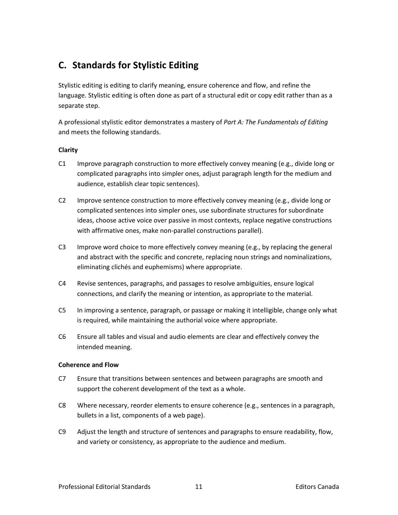# **C. Standards for Stylistic Editing**

Stylistic editing is editing to clarify meaning, ensure coherence and flow, and refine the language. Stylistic editing is often done as part of a structural edit or copy edit rather than as a separate step.

A professional stylistic editor demonstrates a mastery of *Part A: The Fundamentals of Editing* and meets the following standards.

# **Clarity**

- C1 Improve paragraph construction to more effectively convey meaning (e.g., divide long or complicated paragraphs into simpler ones, adjust paragraph length for the medium and audience, establish clear topic sentences).
- C2 Improve sentence construction to more effectively convey meaning (e.g., divide long or complicated sentences into simpler ones, use subordinate structures for subordinate ideas, choose active voice over passive in most contexts, replace negative constructions with affirmative ones, make non-parallel constructions parallel).
- C3 Improve word choice to more effectively convey meaning (e.g., by replacing the general and abstract with the specific and concrete, replacing noun strings and nominalizations, eliminating clichés and euphemisms) where appropriate.
- C4 Revise sentences, paragraphs, and passages to resolve ambiguities, ensure logical connections, and clarify the meaning or intention, as appropriate to the material.
- C5 In improving a sentence, paragraph, or passage or making it intelligible, change only what is required, while maintaining the authorial voice where appropriate.
- C6 Ensure all tables and visual and audio elements are clear and effectively convey the intended meaning.

# **Coherence and Flow**

- C7 Ensure that transitions between sentences and between paragraphs are smooth and support the coherent development of the text as a whole.
- C8 Where necessary, reorder elements to ensure coherence (e.g., sentences in a paragraph, bullets in a list, components of a web page).
- C9 Adjust the length and structure of sentences and paragraphs to ensure readability, flow, and variety or consistency, as appropriate to the audience and medium.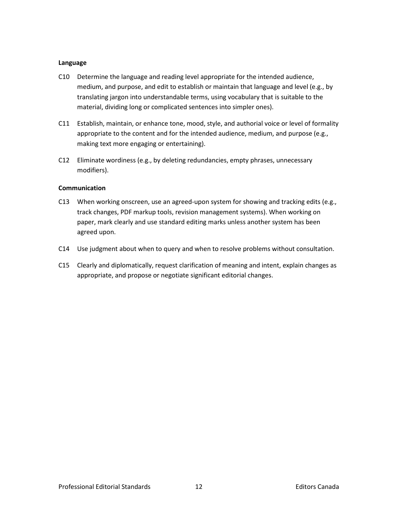#### **Language**

- C10 Determine the language and reading level appropriate for the intended audience, medium, and purpose, and edit to establish or maintain that language and level (e.g., by translating jargon into understandable terms, using vocabulary that is suitable to the material, dividing long or complicated sentences into simpler ones).
- C11 Establish, maintain, or enhance tone, mood, style, and authorial voice or level of formality appropriate to the content and for the intended audience, medium, and purpose (e.g., making text more engaging or entertaining).
- C12 Eliminate wordiness (e.g., by deleting redundancies, empty phrases, unnecessary modifiers).

# **Communication**

- C13 When working onscreen, use an agreed-upon system for showing and tracking edits (e.g., track changes, PDF markup tools, revision management systems). When working on paper, mark clearly and use standard editing marks unless another system has been agreed upon.
- C14 Use judgment about when to query and when to resolve problems without consultation.
- C15 Clearly and diplomatically, request clarification of meaning and intent, explain changes as appropriate, and propose or negotiate significant editorial changes.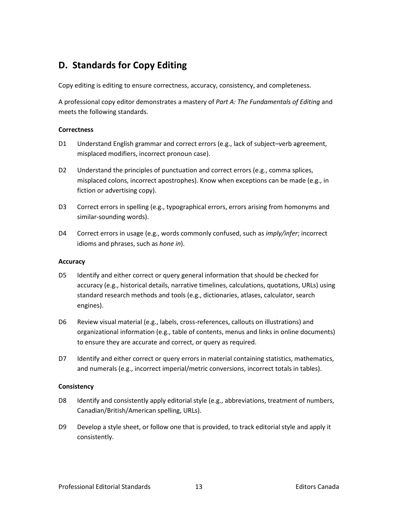# **D. Standards for Copy Editing**

Copy editing is editing to ensure correctness, accuracy, consistency, and completeness.

A professional copy editor demonstrates a mastery of *Part A: The Fundamentals of Editing* and meets the following standards.

#### **Correctness**

- D1 Understand English grammar and correct errors (e.g., lack of subject–verb agreement, misplaced modifiers, incorrect pronoun case).
- D2 Understand the principles of punctuation and correct errors (e.g., comma splices, misplaced colons, incorrect apostrophes). Know when exceptions can be made (e.g., in fiction or advertising copy).
- D3 Correct errors in spelling (e.g., typographical errors, errors arising from homonyms and similar-sounding words).
- D4 Correct errors in usage (e.g., words commonly confused, such as *imply/infer*; incorrect idioms and phrases, such as *hone in*).

# **Accuracy**

- D5 Identify and either correct or query general information that should be checked for accuracy (e.g., historical details, narrative timelines, calculations, quotations, URLs) using standard research methods and tools (e.g., dictionaries, atlases, calculator, search engines).
- D6 Review visual material (e.g., labels, cross-references, callouts on illustrations) and organizational information (e.g., table of contents, menus and links in online documents) to ensure they are accurate and correct, or query as required.
- D7 Identify and either correct or query errors in material containing statistics, mathematics, and numerals (e.g., incorrect imperial/metric conversions, incorrect totals in tables).

# **Consistency**

- D8 Identify and consistently apply editorial style (e.g., abbreviations, treatment of numbers, Canadian/British/American spelling, URLs).
- D9 Develop a style sheet, or follow one that is provided, to track editorial style and apply it consistently.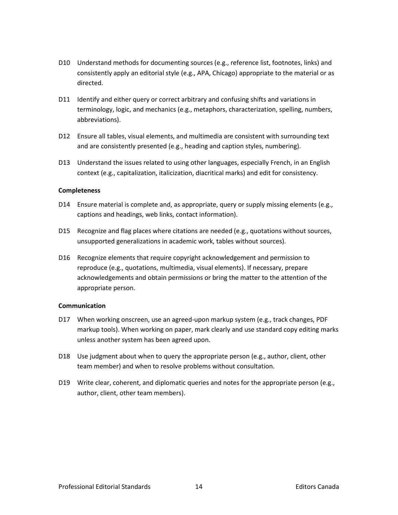- D10 Understand methods for documenting sources (e.g., reference list, footnotes, links) and consistently apply an editorial style (e.g., APA, Chicago) appropriate to the material or as directed.
- D11 Identify and either query or correct arbitrary and confusing shifts and variations in terminology, logic, and mechanics (e.g., metaphors, characterization, spelling, numbers, abbreviations).
- D12 Ensure all tables, visual elements, and multimedia are consistent with surrounding text and are consistently presented (e.g., heading and caption styles, numbering).
- D13 Understand the issues related to using other languages, especially French, in an English context (e.g., capitalization, italicization, diacritical marks) and edit for consistency.

#### **Completeness**

- D14 Ensure material is complete and, as appropriate, query or supply missing elements (e.g., captions and headings, web links, contact information).
- D15 Recognize and flag places where citations are needed (e.g., quotations without sources, unsupported generalizations in academic work, tables without sources).
- D16 Recognize elements that require copyright acknowledgement and permission to reproduce (e.g., quotations, multimedia, visual elements). If necessary, prepare acknowledgements and obtain permissions or bring the matter to the attention of the appropriate person.

#### **Communication**

- D17 When working onscreen, use an agreed-upon markup system (e.g., track changes, PDF markup tools). When working on paper, mark clearly and use standard copy editing marks unless another system has been agreed upon.
- D18 Use judgment about when to query the appropriate person (e.g., author, client, other team member) and when to resolve problems without consultation.
- D19 Write clear, coherent, and diplomatic queries and notes for the appropriate person (e.g., author, client, other team members).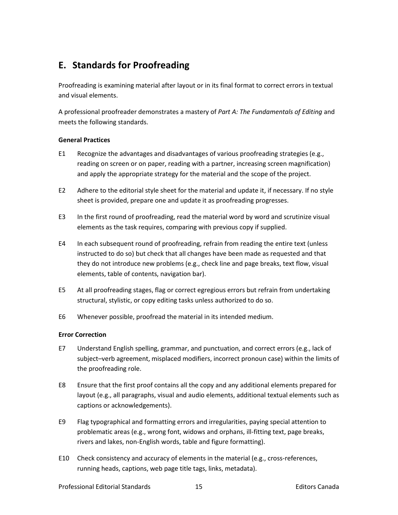# **E. Standards for Proofreading**

Proofreading is examining material after layout or in its final format to correct errors in textual and visual elements.

A professional proofreader demonstrates a mastery of *Part A: The Fundamentals of Editing* and meets the following standards.

# **General Practices**

- E1 Recognize the advantages and disadvantages of various proofreading strategies (e.g., reading on screen or on paper, reading with a partner, increasing screen magnification) and apply the appropriate strategy for the material and the scope of the project.
- E2 Adhere to the editorial style sheet for the material and update it, if necessary. If no style sheet is provided, prepare one and update it as proofreading progresses.
- E3 In the first round of proofreading, read the material word by word and scrutinize visual elements as the task requires, comparing with previous copy if supplied.
- E4 In each subsequent round of proofreading, refrain from reading the entire text (unless instructed to do so) but check that all changes have been made as requested and that they do not introduce new problems (e.g., check line and page breaks, text flow, visual elements, table of contents, navigation bar).
- E5 At all proofreading stages, flag or correct egregious errors but refrain from undertaking structural, stylistic, or copy editing tasks unless authorized to do so.
- E6 Whenever possible, proofread the material in its intended medium.

# **Error Correction**

- E7 Understand English spelling, grammar, and punctuation, and correct errors (e.g., lack of subject–verb agreement, misplaced modifiers, incorrect pronoun case) within the limits of the proofreading role.
- E8 Ensure that the first proof contains all the copy and any additional elements prepared for layout (e.g., all paragraphs, visual and audio elements, additional textual elements such as captions or acknowledgements).
- E9 Flag typographical and formatting errors and irregularities, paying special attention to problematic areas (e.g., wrong font, widows and orphans, ill-fitting text, page breaks, rivers and lakes, non-English words, table and figure formatting).
- E10 Check consistency and accuracy of elements in the material (e.g., cross-references, running heads, captions, web page title tags, links, metadata).